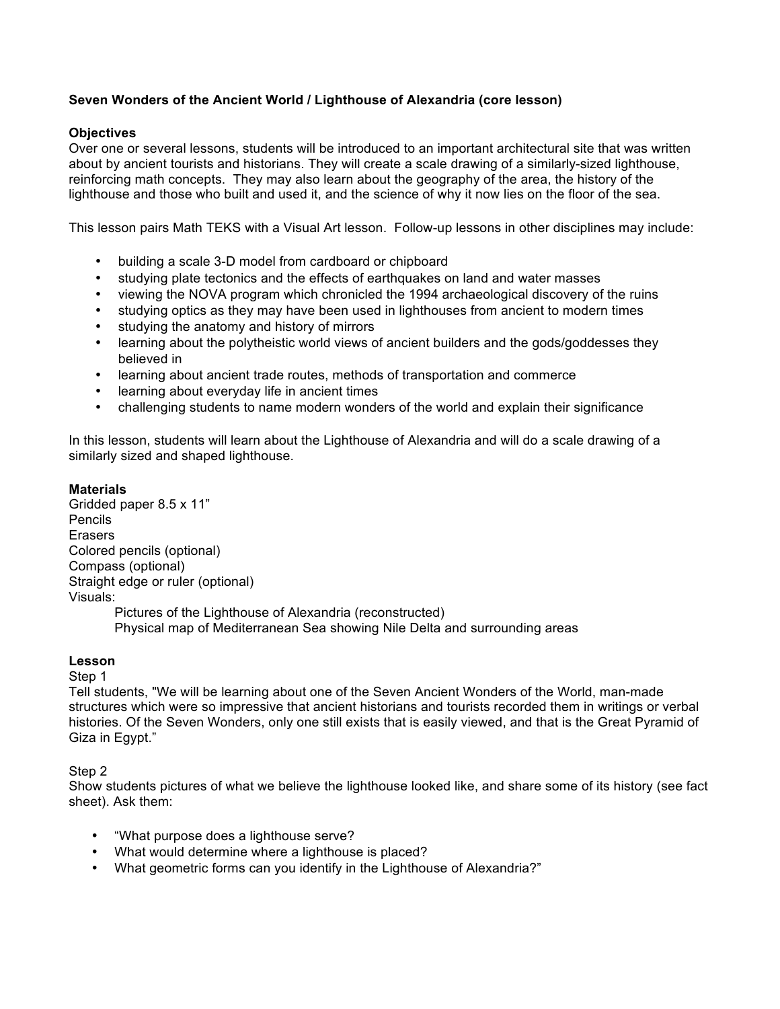# **Seven Wonders of the Ancient World / Lighthouse of Alexandria (core lesson)**

## **Objectives**

Over one or several lessons, students will be introduced to an important architectural site that was written about by ancient tourists and historians. They will create a scale drawing of a similarly-sized lighthouse, reinforcing math concepts. They may also learn about the geography of the area, the history of the lighthouse and those who built and used it, and the science of why it now lies on the floor of the sea.

This lesson pairs Math TEKS with a Visual Art lesson. Follow-up lessons in other disciplines may include:

- building a scale 3-D model from cardboard or chipboard
- studying plate tectonics and the effects of earthquakes on land and water masses
- viewing the NOVA program which chronicled the 1994 archaeological discovery of the ruins
- studying optics as they may have been used in lighthouses from ancient to modern times
- studying the anatomy and history of mirrors
- learning about the polytheistic world views of ancient builders and the gods/goddesses they believed in
- learning about ancient trade routes, methods of transportation and commerce
- learning about everyday life in ancient times
- challenging students to name modern wonders of the world and explain their significance

In this lesson, students will learn about the Lighthouse of Alexandria and will do a scale drawing of a similarly sized and shaped lighthouse.

#### **Materials**

Gridded paper 8.5 x 11" Pencils Erasers Colored pencils (optional) Compass (optional) Straight edge or ruler (optional) Visuals: Pictures of the Lighthouse of Alexandria (reconstructed)

Physical map of Mediterranean Sea showing Nile Delta and surrounding areas

### **Lesson**

Step 1

Tell students, "We will be learning about one of the Seven Ancient Wonders of the World, man-made structures which were so impressive that ancient historians and tourists recorded them in writings or verbal histories. Of the Seven Wonders, only one still exists that is easily viewed, and that is the Great Pyramid of Giza in Egypt."

Step 2

Show students pictures of what we believe the lighthouse looked like, and share some of its history (see fact sheet). Ask them:

- "What purpose does a lighthouse serve?
- What would determine where a lighthouse is placed?
- What geometric forms can you identify in the Lighthouse of Alexandria?"